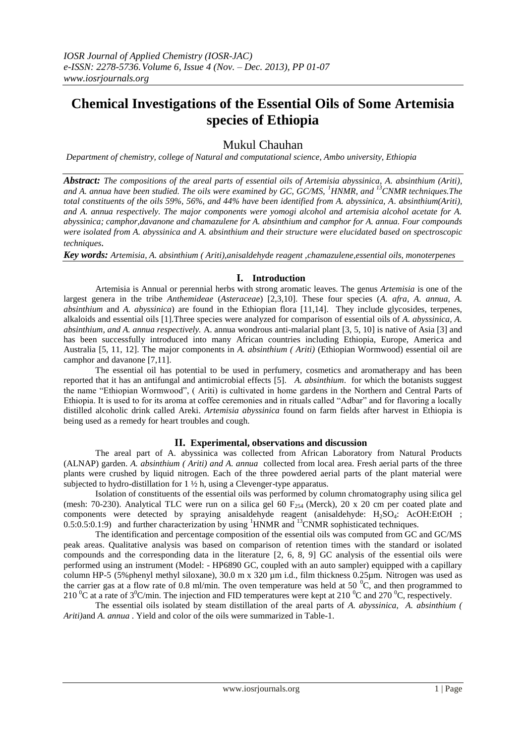# **Chemical Investigations of the Essential Oils of Some Artemisia** **species of Ethiopia**

# Mukul Chauhan

*Department of chemistry, college of Natural and computational science, Ambo university, Ethiopia*

*Abstract: The compositions of the areal parts of essential oils of Artemisia abyssinica, A. absinthium (Ariti), and A. annua have been studied. The oils were examined by GC, GC/MS, <sup>1</sup>HNMR, and <sup>13</sup>CNMR techniques.The total constituents of the oils 59%, 56%, and 44% have been identified from A. abyssinica, A. absinthium(Ariti), and A. annua respectively. The major components were yomogi alcohol and artemisia alcohol acetate for A. abyssinica; camphor,davanone and chamazulene for A. absinthium and camphor for A. annua. Four compounds were isolated from A. abyssinica and A. absinthium and their structure were elucidated based on spectroscopic techniques.* 

*Key words: Artemisia, A. absinthium ( Ariti),anisaldehyde reagent ,chamazulene,essential oils, monoterpenes* 

#### **I. Introduction**

Artemisia is Annual or perennial herbs with strong aromatic leaves. The genus *Artemisia* is one of the largest genera in the tribe *Anthemideae* (*Asteraceae*) [2,3,10]. These four species (*A. afra, A. annua, A. absinthium* and *A. abyssinica*) are found in the Ethiopian flora [11,14]. They include glycosides, terpenes, alkaloids and essential oils [1].Three species were analyzed for comparison of essential oils of *A. abyssinica, A. absinthium, and A. annua respectively.* A. annua wondrous anti-malarial plant [3, 5, 10] is native of Asia [3] and has been successfully introduced into many African countries including Ethiopia, Europe, America and Australia [5, 11, 12]. The major components in *A. absinthium ( Ariti)* (Ethiopian Wormwood) essential oil are camphor and davanone [7,11].

The essential oil has potential to be used in perfumery, cosmetics and aromatherapy and has been reported that it has an antifungal and antimicrobial effects [5]. *A. absinthium*. for which the botanists suggest the name "Ethiopian Wormwood", ( Ariti) is cultivated in home gardens in the Northern and Central Parts of Ethiopia. It is used to for its aroma at coffee ceremonies and in rituals called "Adbar" and for flavoring a locally distilled alcoholic drink called Areki. *Artemisia abyssinica* found on farm fields after harvest in Ethiopia is being used as a remedy for heart troubles and cough.

### **II. Experimental, observations and discussion**

The areal part of A. abyssinica was collected from African Laboratory from Natural Products (ALNAP) garden. *A. absinthium ( Ariti) and A. annua* collected from local area. Fresh aerial parts of the three plants were crushed by liquid nitrogen. Each of the three powdered aerial parts of the plant material were subjected to hydro-distillation for 1 ½ h, using a Clevenger-type apparatus.

Isolation of constituents of the essential oils was performed by column chromatography using silica gel (mesh: 70-230). Analytical TLC were run on a silica gel 60  $F_{254}$  (Merck), 20 x 20 cm per coated plate and components were detected by spraying anisaldehyde reagent (anisaldehyde: H<sub>2</sub>SO<sub>4</sub>: AcOH:EtOH ;  $0.5:0.5:0.1:9$  and further characterization by using <sup>1</sup>HNMR and <sup>13</sup>CNMR sophisticated techniques.

The identification and percentage composition of the essential oils was computed from GC and GC/MS peak areas. Qualitative analysis was based on comparison of retention times with the standard or isolated compounds and the corresponding data in the literature [2, 6, 8, 9] GC analysis of the essential oils were performed using an instrument (Model: - HP6890 GC, coupled with an auto sampler) equipped with a capillary column HP-5 (5%phenyl methyl siloxane), 30.0 m x 320 µm i.d., film thickness 0.25µm. Nitrogen was used as the carrier gas at a flow rate of 0.8 ml/min. The oven temperature was held at 50  $^{\circ}$ C, and then programmed to 210  $\rm{^0C}$  at a rate of  $\rm{3^0C/min}$ . The injection and FID temperatures were kept at 210  $\rm{^0C}$  and 270  $\rm{^0C}$ , respectively.

The essential oils isolated by steam distillation of the areal parts of *A. abyssinica*, *A. absinthium ( Ariti)*and *A. annua* . Yield and color of the oils were summarized in Table-1.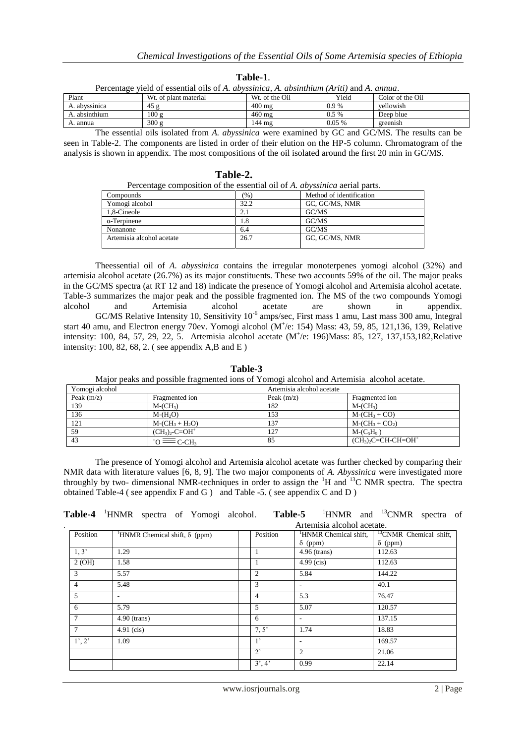| Percentage yield of essential oils of A. abyssinica, A. absinthium (Ariti) and A. annua. |                       |                            |         |                  |
|------------------------------------------------------------------------------------------|-----------------------|----------------------------|---------|------------------|
| Plant                                                                                    | Wt. of plant material | W <sub>t.</sub> of the Oil | Yield   | Color of the Oil |
| A. abyssinica                                                                            | 45 g                  | $400 \text{ mg}$           | $0.9\%$ | vellowish        |
| A. absinthium                                                                            | 100 g                 | $460 \text{ mg}$           | $0.5\%$ | Deep blue        |
| A. annua                                                                                 | 300 g                 | 144 mg                     | 0.05%   | greenish         |

**Table-1**.

The essential oils isolated from *A. abyssinica* were examined by GC and GC/MS. The results can be seen in Table-2. The components are listed in order of their elution on the HP-5 column. Chromatogram of the analysis is shown in appendix. The most compositions of the oil isolated around the first 20 min in GC/MS.

|                           | Percentage composition of the essential oil of A. <i>abyssinica</i> aerial parts. |                          |  |
|---------------------------|-----------------------------------------------------------------------------------|--------------------------|--|
| Compounds                 | (%)                                                                               | Method of identification |  |
| Yomogi alcohol            | 32.2                                                                              | GC, GC/MS, NMR           |  |
| 1,8-Cineole               | 2.1                                                                               | GC/MS                    |  |
| $\alpha$ -Terpinene       | 1.8                                                                               | GC/MS                    |  |
| Nonanone                  | 6.4                                                                               | GC/MS                    |  |
| Artemisia alcohol acetate | 26.7                                                                              | GC, GC/MS, NMR           |  |

 **Table-2.**

Theessential oil of *A. abyssinica* contains the irregular monoterpenes yomogi alcohol (32%) and artemisia alcohol acetate (26.7%) as its major constituents. These two accounts 59% of the oil. The major peaks in the GC/MS spectra (at RT 12 and 18) indicate the presence of Yomogi alcohol and Artemisia alcohol acetate. Table-3 summarizes the major peak and the possible fragmented ion. The MS of the two compounds Yomogi alcohol and Artemisia alcohol acetate are shown in appendix. GC/MS Relative Intensity 10, Sensitivity 10<sup>-6</sup> amps/sec, First mass 1 amu, Last mass 300 amu, Integral start 40 amu, and Electron energy 70ev. Yomogi alcohol (M<sup>+</sup>/e: 154) Mass: 43, 59, 85, 121,136, 139, Relative intensity: 100, 84, 57, 29, 22, 5. Artemisia alcohol acetate (M<sup>+</sup>/e: 196)Mass: 85, 127, 137,153,182,Relative intensity: 100, 82, 68, 2. ( see appendix A,B and E )

Major peaks and possible fragmented ions of Yomogi alcohol and Artemisia alcohol acetate. Yomogi alcohol Artemisia alcohol acetate Peak (m/z) Fragmented ion Peak (m/z) Fragmented ion Peak (m/z) Fragmented ion 139 M-(CH<sub>3</sub>) M-(CH<sub>3</sub>) 182 M-(CH<sub>3</sub>)  $136$  M-(H<sub>2</sub>O) 153 M-(CH<sub>3</sub> + CO) 121 M-(CH<sub>3</sub> + H<sub>2</sub>O) 137 M-(CH<sub>3</sub> + CO<sub>2</sub>)<br>59 (CH<sub>3</sub>)-C=OH<sup>+</sup> 127 M-(C<sub>3</sub>H<sub>9</sub>)  $\frac{(CH_3)_2-C=OH^+}{43}$ 127 M-(C<sub>5</sub>H<sub>9</sub>)<br>85 (CH<sub>3</sub>) $_2$ C=C  $\overline{1}$  to  $\equiv$  c-ch<sub>3</sub>  $\overline{(CH_3)_2C=CH-CH=OH}$ 

**Table-3** 

The presence of Yomogi alcohol and Artemisia alcohol acetate was further checked by comparing their NMR data with literature values [6, 8, 9]. The two major components of *A. Abyssinica* were investigated more throughly by two- dimensional NMR-techniques in order to assign the <sup>1</sup>H and <sup>13</sup>C NMR spectra. The spectra obtained Table-4 ( see appendix F and G )and Table -5. ( see appendix C and D )

**Table-4** <sup>1</sup>HNMR spectra of Yomogi alcohol. **Table-5** <sup>1</sup>HNMR and <sup>13</sup>CNMR spectra of

|                |                                                  | Artemisia alcohol acetate. |                |                                   |                                    |
|----------------|--------------------------------------------------|----------------------------|----------------|-----------------------------------|------------------------------------|
| Position       | <sup>1</sup> HNMR Chemical shift, $\delta$ (ppm) |                            | Position       | <sup>1</sup> HNMR Chemical shift, | <sup>13</sup> CNMR Chemical shift, |
|                |                                                  |                            |                | $\delta$ (ppm)                    | $\delta$ (ppm)                     |
| 1, 3'          | 1.29                                             |                            | 1              | 4.96 (trans)                      | 112.63                             |
| 2(OH)          | 1.58                                             |                            |                | $4.99$ (cis)                      | 112.63                             |
| 3              | 5.57                                             |                            | $\overline{2}$ | 5.84                              | 144.22                             |
| $\overline{4}$ | 5.48                                             |                            | 3              | ٠                                 | 40.1                               |
| 5              | ۰.                                               |                            | 4              | 5.3                               | 76.47                              |
| 6              | 5.79                                             |                            | 5              | 5.07                              | 120.57                             |
| 7              | $4.90$ (trans)                                   |                            | 6              | ۰                                 | 137.15                             |
| $\tau$         | $4.91$ (cis)                                     |                            | 7, 5'          | 1.74                              | 18.83                              |
| 1', 2'         | 1.09                                             |                            | $1^{\circ}$    | $\overline{\phantom{a}}$          | 169.57                             |
|                |                                                  |                            | $2^{\circ}$    | $\mathfrak{2}$                    | 21.06                              |
|                |                                                  |                            | 3', 4'         | 0.99                              | 22.14                              |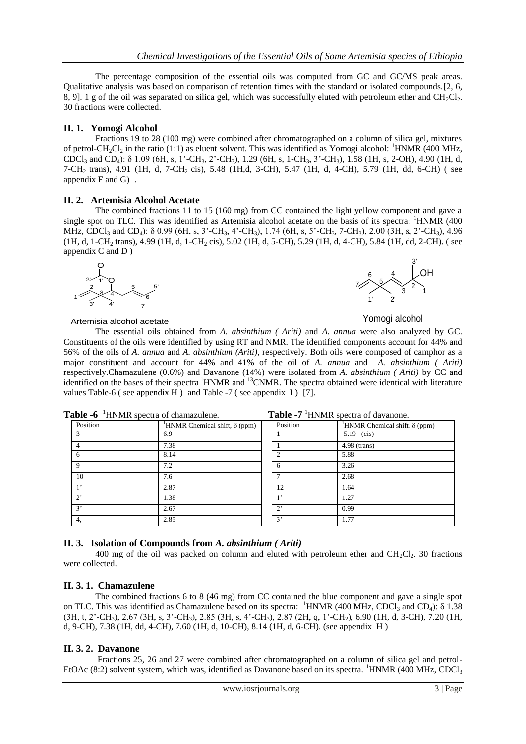The percentage composition of the essential oils was computed from GC and GC/MS peak areas. Qualitative analysis was based on comparison of retention times with the standard or isolated compounds.[2, 6, 8, 9]. 1 g of the oil was separated on silica gel, which was successfully eluted with petroleum ether and  $CH_2Cl_2$ . 30 fractions were collected.

## **II. 1. Yomogi Alcohol**

Fractions 19 to 28 (100 mg) were combined after chromatographed on a column of silica gel, mixtures of petrol-CH<sub>2</sub>Cl<sub>2</sub> in the ratio (1:1) as eluent solvent. This was identified as Yomogi alcohol: <sup>1</sup>HNMR (400 MHz, CDCl<sub>3</sub> and CD<sub>4</sub>): δ 1.09 (6H, s, 1'-CH<sub>3</sub>, 2'-CH<sub>3</sub>), 1.29 (6H, s, 1-CH<sub>3</sub>, 3'-CH<sub>3</sub>), 1.58 (1H, s, 2-OH), 4.90 (1H, d, 7-CH2 trans), 4.91 (1H, d, 7-CH2 cis), 5.48 (1H,d, 3-CH), 5.47 (1H, d, 4-CH), 5.79 (1H, dd, 6-CH) ( see appendix F and G).

#### **II. 2. Artemisia Alcohol Acetate**

The combined fractions 11 to 15 (160 mg) from CC contained the light yellow component and gave a single spot on TLC. This was identified as Artemisia alcohol acetate on the basis of its spectra:  $1HNMR$  (400) MHz, CDCl<sub>3</sub> and CD<sub>4</sub>): δ 0.99 (6H, s, 3'-CH<sub>3</sub>, 4'-CH<sub>3</sub>), 1.74 (6H, s, 5'-CH<sub>3</sub>, 7-CH<sub>3</sub>), 2.00 (3H, s, 2'-CH<sub>3</sub>), 4.96 (1H, d, 1-CH<sub>2</sub> trans), 4.99 (1H, d, 1-CH<sub>2</sub> cis), 5.02 (1H, d, 5-CH), 5.29 (1H, d, 4-CH), 5.84 (1H, dd, 2-CH). ( see appendix C and D )



#### OH 1 2 3 4 5 6 7 1' 2' 3'

#### Artemisia alcohol acetate

Yomogi alcohol

The essential oils obtained from *A. absinthium ( Ariti)* and *A. annua* were also analyzed by GC. Constituents of the oils were identified by using RT and NMR. The identified components account for 44% and 56% of the oils of *A. annua* and *A. absinthium (Ariti)*, respectively. Both oils were composed of camphor as a major constituent and account for 44% and 41% of the oil of *A. annua* and *A. absinthium ( Ariti)* respectively.Chamazulene (0.6%) and Davanone (14%) were isolated from *A. absinthium ( Ariti)* by CC and identified on the bases of their spectra <sup>1</sup>HNMR and <sup>13</sup>CNMR. The spectra obtained were identical with literature values Table-6 ( see appendix  $H$  ) and Table -7 ( see appendix I ) [7].

| Position       | <sup>1</sup> HNMR Chemical shift, $\delta$ (ppm) | Position       | <sup>1</sup> HNMR Chemical shift, $\delta$ (ppm) |
|----------------|--------------------------------------------------|----------------|--------------------------------------------------|
|                | 6.9                                              |                | 5.19 $(cis)$                                     |
|                | 7.38                                             |                | $4.98$ (trans)                                   |
| 6              | 8.14                                             | $\overline{c}$ | 5.88                                             |
| $\mathbf Q$    | 7.2                                              | 6              | 3.26                                             |
| 10             | 7.6                                              |                | 2.68                                             |
| 1 <sup>2</sup> | 2.87                                             | 12             | 1.64                                             |
| $2^{\circ}$    | 1.38                                             | 1 <sup>2</sup> | 1.27                                             |
| 3'             | 2.67                                             | $2^{\circ}$    | 0.99                                             |
| 4.             | 2.85                                             | 3'             | 1.77                                             |

**Table -6** <sup>1</sup>HNMR spectra of chamazulene. **Table -7** <sup>1</sup>HNMR spectra of davanone.

# **II. 3. Isolation of Compounds from** *A. absinthium ( Ariti)*

400 mg of the oil was packed on column and eluted with petroleum ether and  $CH_2Cl_2$ . 30 fractions were collected.

# **II. 3. 1. Chamazulene**

The combined fractions 6 to 8 (46 mg) from CC contained the blue component and gave a single spot on TLC. This was identified as Chamazulene based on its spectra:  $1$ HNMR (400 MHz, CDCl<sub>3</sub> and CD<sub>4</sub>):  $\delta$  1.38 (3H, t, 2'-CH3), 2.67 (3H, s, 3'-CH3), 2.85 (3H, s, 4'-CH3), 2.87 (2H, q, 1'-CH2), 6.90 (1H, d, 3-CH), 7.20 (1H, d, 9-CH), 7.38 (1H, dd, 4-CH), 7.60 (1H, d, 10-CH), 8.14 (1H, d, 6-CH). (see appendix H )

# **II. 3. 2. Davanone**

Fractions 25, 26 and 27 were combined after chromatographed on a column of silica gel and petrol-EtOAc (8:2) solvent system, which was, identified as Davanone based on its spectra. <sup>1</sup>HNMR (400 MHz, CDCl<sub>3</sub>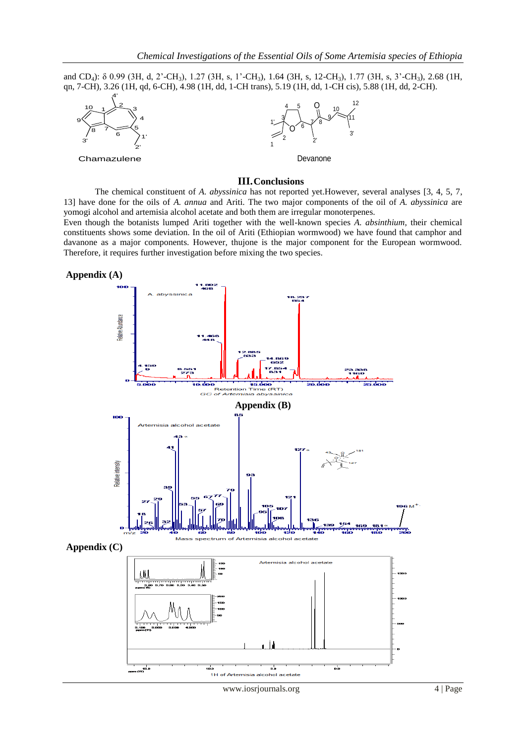and CD4): δ 0.99 (3H, d, 2'-CH3), 1.27 (3H, s, 1'-CH3), 1.64 (3H, s, 12-CH3), 1.77 (3H, s, 3'-CH3), 2.68 (1H, qn, 7-CH), 3.26 (1H, qd, 6-CH), 4.98 (1H, dd, 1-CH trans), 5.19 (1H, dd, 1-CH cis), 5.88 (1H, dd, 2-CH).



**Chamazulene** 



Devanone

#### **III.Conclusions**

 The chemical constituent of *A. abyssinica* has not reported yet.However, several analyses [3, 4, 5, 7, 13] have done for the oils of *A. annua* and Ariti. The two major components of the oil of *A. abyssinica* are yomogi alcohol and artemisia alcohol acetate and both them are irregular monoterpenes.

Even though the botanists lumped Ariti together with the well-known species *A. absinthium*, their chemical constituents shows some deviation. In the oil of Ariti (Ethiopian wormwood) we have found that camphor and davanone as a major components. However, thujone is the major component for the European wormwood. Therefore, it requires further investigation before mixing the two species.





www.iosrjournals.org 4 | Page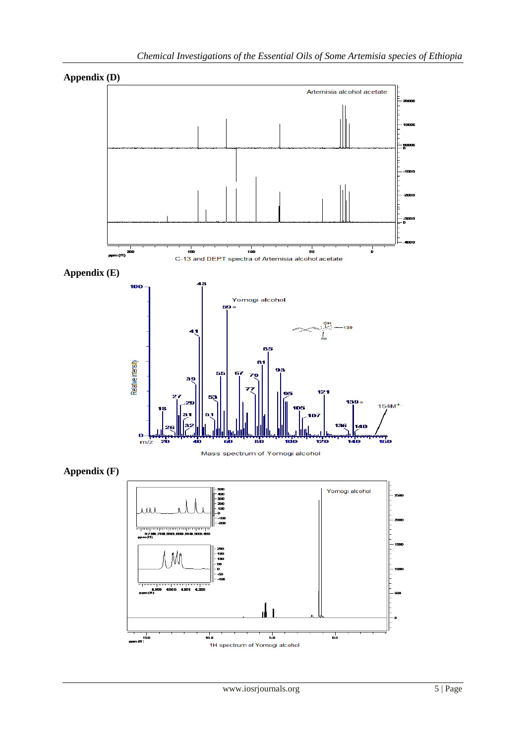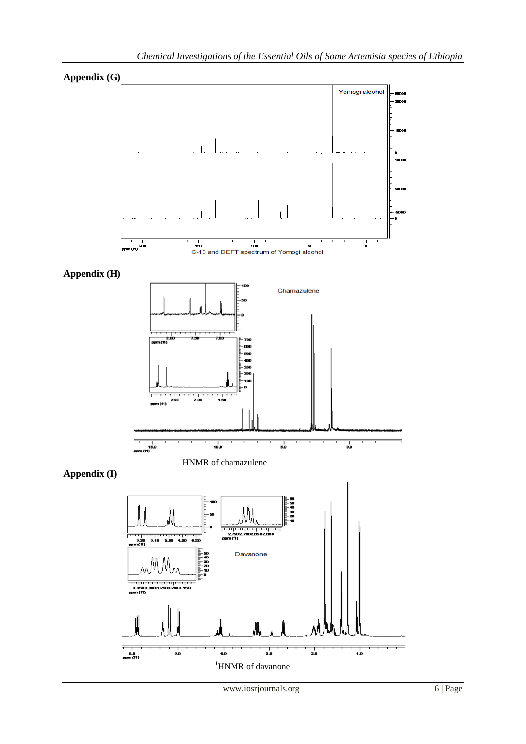